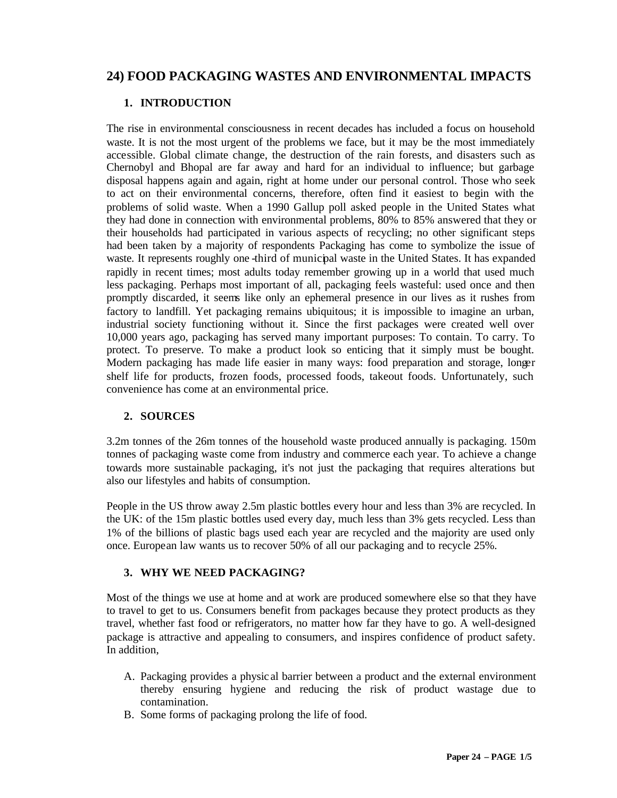# **24) FOOD PACKAGING WASTES AND ENVIRONMENTAL IMPACTS**

# **1. INTRODUCTION**

The rise in environmental consciousness in recent decades has included a focus on household waste. It is not the most urgent of the problems we face, but it may be the most immediately accessible. Global climate change, the destruction of the rain forests, and disasters such as Chernobyl and Bhopal are far away and hard for an individual to influence; but garbage disposal happens again and again, right at home under our personal control. Those who seek to act on their environmental concerns, therefore, often find it easiest to begin with the problems of solid waste. When a 1990 Gallup poll asked people in the United States what they had done in connection with environmental problems, 80% to 85% answered that they or their households had participated in various aspects of recycling; no other significant steps had been taken by a majority of respondents Packaging has come to symbolize the issue of waste. It represents roughly one -third of municipal waste in the United States. It has expanded rapidly in recent times; most adults today remember growing up in a world that used much less packaging. Perhaps most important of all, packaging feels wasteful: used once and then promptly discarded, it seems like only an ephemeral presence in our lives as it rushes from factory to landfill. Yet packaging remains ubiquitous; it is impossible to imagine an urban, industrial society functioning without it. Since the first packages were created well over 10,000 years ago, packaging has served many important purposes: To contain. To carry. To protect. To preserve. To make a product look so enticing that it simply must be bought. Modern packaging has made life easier in many ways: food preparation and storage, longer shelf life for products, frozen foods, processed foods, takeout foods. Unfortunately, such convenience has come at an environmental price.

## **2. SOURCES**

3.2m tonnes of the 26m tonnes of the household waste produced annually is packaging. 150m tonnes of packaging waste come from industry and commerce each year. To achieve a change towards more sustainable packaging, it's not just the packaging that requires alterations but also our lifestyles and habits of consumption.

People in the US throw away 2.5m plastic bottles every hour and less than 3% are recycled. In the UK: of the 15m plastic bottles used every day, much less than 3% gets recycled. Less than 1% of the billions of plastic bags used each year are recycled and the majority are used only once. European law wants us to recover 50% of all our packaging and to recycle 25%.

## **3. WHY WE NEED PACKAGING?**

Most of the things we use at home and at work are produced somewhere else so that they have to travel to get to us. Consumers benefit from packages because they protect products as they travel, whether fast food or refrigerators, no matter how far they have to go. A well-designed package is attractive and appealing to consumers, and inspires confidence of product safety. In addition,

- A. Packaging provides a physic al barrier between a product and the external environment thereby ensuring hygiene and reducing the risk of product wastage due to contamination.
- B. Some forms of packaging prolong the life of food.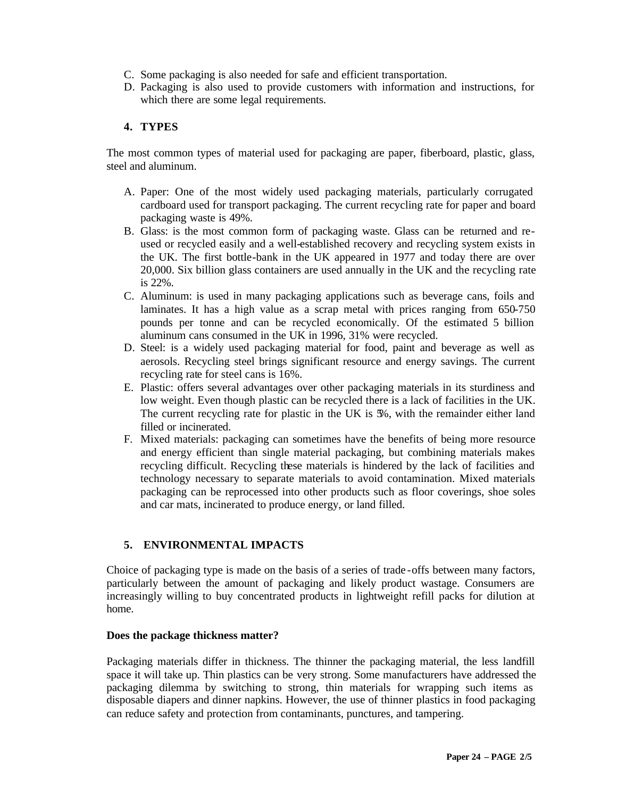- C. Some packaging is also needed for safe and efficient transportation.
- D. Packaging is also used to provide customers with information and instructions, for which there are some legal requirements.

# **4. TYPES**

The most common types of material used for packaging are paper, fiberboard, plastic, glass, steel and aluminum.

- A. Paper: One of the most widely used packaging materials, particularly corrugated cardboard used for transport packaging. The current recycling rate for paper and board packaging waste is 49%.
- B. Glass: is the most common form of packaging waste. Glass can be returned and reused or recycled easily and a well-established recovery and recycling system exists in the UK. The first bottle-bank in the UK appeared in 1977 and today there are over 20,000. Six billion glass containers are used annually in the UK and the recycling rate is 22%.
- C. Aluminum: is used in many packaging applications such as beverage cans, foils and laminates. It has a high value as a scrap metal with prices ranging from 650-750 pounds per tonne and can be recycled economically. Of the estimated 5 billion aluminum cans consumed in the UK in 1996, 31% were recycled.
- D. Steel: is a widely used packaging material for food, paint and beverage as well as aerosols. Recycling steel brings significant resource and energy savings. The current recycling rate for steel cans is 16%.
- E. Plastic: offers several advantages over other packaging materials in its sturdiness and low weight. Even though plastic can be recycled there is a lack of facilities in the UK. The current recycling rate for plastic in the UK is  $\mathcal{H}$ , with the remainder either land filled or incinerated.
- F. Mixed materials: packaging can sometimes have the benefits of being more resource and energy efficient than single material packaging, but combining materials makes recycling difficult. Recycling these materials is hindered by the lack of facilities and technology necessary to separate materials to avoid contamination. Mixed materials packaging can be reprocessed into other products such as floor coverings, shoe soles and car mats, incinerated to produce energy, or land filled.

# **5. ENVIRONMENTAL IMPACTS**

Choice of packaging type is made on the basis of a series of trade -offs between many factors, particularly between the amount of packaging and likely product wastage. Consumers are increasingly willing to buy concentrated products in lightweight refill packs for dilution at home.

## **Does the package thickness matter?**

Packaging materials differ in thickness. The thinner the packaging material, the less landfill space it will take up. Thin plastics can be very strong. Some manufacturers have addressed the packaging dilemma by switching to strong, thin materials for wrapping such items as disposable diapers and dinner napkins. However, the use of thinner plastics in food packaging can reduce safety and protection from contaminants, punctures, and tampering.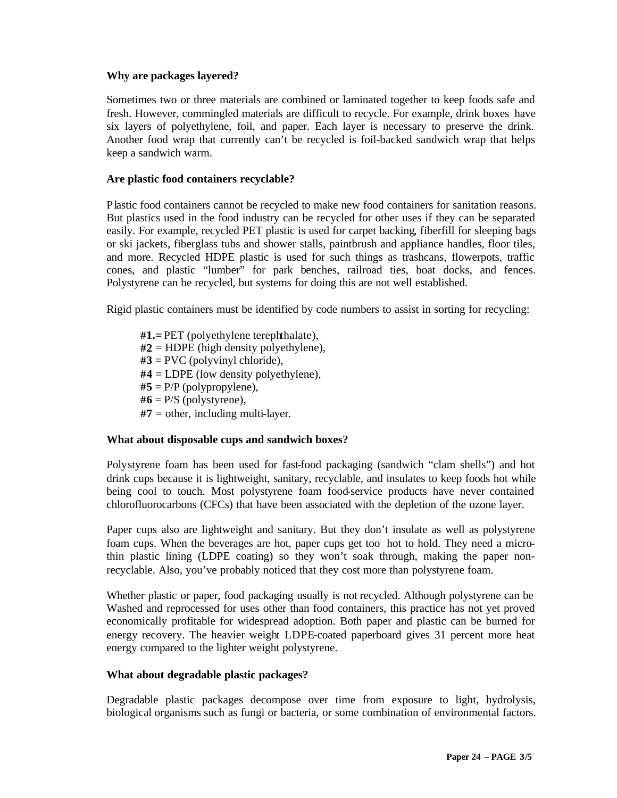## **Why are packages layered?**

Sometimes two or three materials are combined or laminated together to keep foods safe and fresh. However, commingled materials are difficult to recycle. For example, drink boxes have six layers of polyethylene, foil, and paper. Each layer is necessary to preserve the drink. Another food wrap that currently can't be recycled is foil-backed sandwich wrap that helps keep a sandwich warm.

#### **Are plastic food containers recyclable?**

Plastic food containers cannot be recycled to make new food containers for sanitation reasons. But plastics used in the food industry can be recycled for other uses if they can be separated easily. For example, recycled PET plastic is used for carpet backing, fiberfill for sleeping bags or ski jackets, fiberglass tubs and shower stalls, paintbrush and appliance handles, floor tiles, and more. Recycled HDPE plastic is used for such things as trashcans, flowerpots, traffic cones, and plastic "lumber" for park benches, railroad ties, boat docks, and fences. Polystyrene can be recycled, but systems for doing this are not well established.

Rigid plastic containers must be identified by code numbers to assist in sorting for recycling:

**#1.=** PET (polyethylene terephthalate), **#2** = HDPE (high density polyethylene), **#3** = PVC (polyvinyl chloride), **#4** = LDPE (low density polyethylene),  $#5 = P/P$  (polypropylene),  $#6 = P/S$  (polystyrene), **#7** = other, including multi-layer.

## **What about disposable cups and sandwich boxes?**

Polystyrene foam has been used for fast-food packaging (sandwich "clam shells") and hot drink cups because it is lightweight, sanitary, recyclable, and insulates to keep foods hot while being cool to touch. Most polystyrene foam food-service products have never contained chlorofluorocarbons (CFCs) that have been associated with the depletion of the ozone layer.

Paper cups also are lightweight and sanitary. But they don't insulate as well as polystyrene foam cups. When the beverages are hot, paper cups get too hot to hold. They need a microthin plastic lining (LDPE coating) so they won't soak through, making the paper nonrecyclable. Also, you've probably noticed that they cost more than polystyrene foam.

Whether plastic or paper, food packaging usually is not recycled. Although polystyrene can be Washed and reprocessed for uses other than food containers, this practice has not yet proved economically profitable for widespread adoption. Both paper and plastic can be burned for energy recovery. The heavier weight LDPE-coated paperboard gives 31 percent more heat energy compared to the lighter weight polystyrene.

#### **What about degradable plastic packages?**

Degradable plastic packages decompose over time from exposure to light, hydrolysis, biological organisms such as fungi or bacteria, or some combination of environmental factors.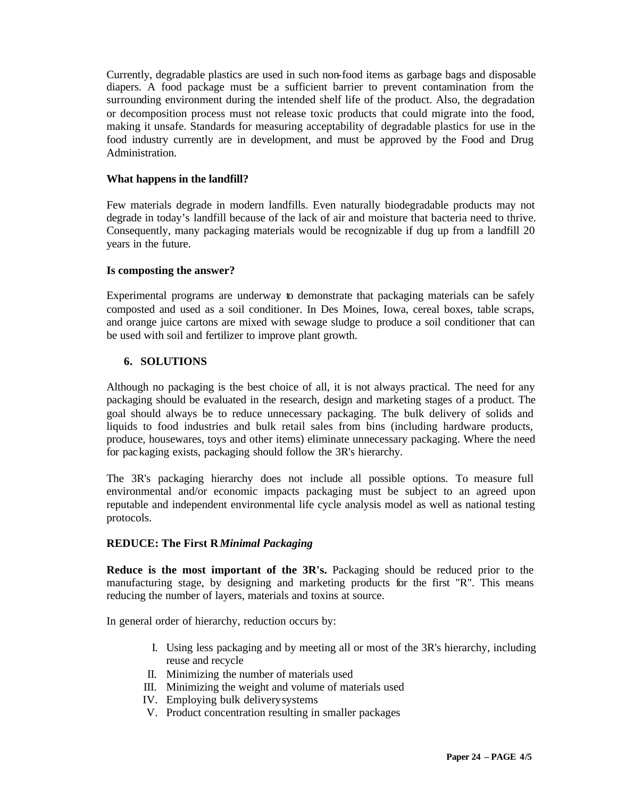Currently, degradable plastics are used in such non-food items as garbage bags and disposable diapers. A food package must be a sufficient barrier to prevent contamination from the surrounding environment during the intended shelf life of the product. Also, the degradation or decomposition process must not release toxic products that could migrate into the food, making it unsafe. Standards for measuring acceptability of degradable plastics for use in the food industry currently are in development, and must be approved by the Food and Drug Administration.

#### **What happens in the landfill?**

Few materials degrade in modern landfills. Even naturally biodegradable products may not degrade in today's landfill because of the lack of air and moisture that bacteria need to thrive. Consequently, many packaging materials would be recognizable if dug up from a landfill 20 years in the future.

#### **Is composting the answer?**

Experimental programs are underway to demonstrate that packaging materials can be safely composted and used as a soil conditioner. In Des Moines, Iowa, cereal boxes, table scraps, and orange juice cartons are mixed with sewage sludge to produce a soil conditioner that can be used with soil and fertilizer to improve plant growth.

## **6. SOLUTIONS**

Although no packaging is the best choice of all, it is not always practical. The need for any packaging should be evaluated in the research, design and marketing stages of a product. The goal should always be to reduce unnecessary packaging. The bulk delivery of solids and liquids to food industries and bulk retail sales from bins (including hardware products, produce, housewares, toys and other items) eliminate unnecessary packaging. Where the need for packaging exists, packaging should follow the 3R's hierarchy.

The 3R's packaging hierarchy does not include all possible options. To measure full environmental and/or economic impacts packaging must be subject to an agreed upon reputable and independent environmental life cycle analysis model as well as national testing protocols.

# **REDUCE: The First R** *Minimal Packaging*

**Reduce is the most important of the 3R's.** Packaging should be reduced prior to the manufacturing stage, by designing and marketing products for the first "R". This means reducing the number of layers, materials and toxins at source.

In general order of hierarchy, reduction occurs by:

- I. Using less packaging and by meeting all or most of the 3R's hierarchy, including reuse and recycle
- II. Minimizing the number of materials used
- III. Minimizing the weight and volume of materials used
- IV. Employing bulk deliverysystems
- V. Product concentration resulting in smaller packages